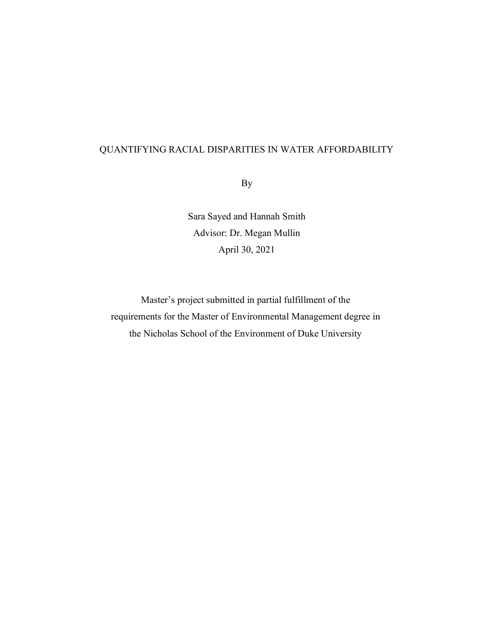# QUANTIFYING RACIAL DISPARITIES IN WATER AFFORDABILITY

By

Sara Sayed and Hannah Smith Advisor: Dr. Megan Mullin April 30, 2021

Master's project submitted in partial fulfillment of the requirements for the Master of Environmental Management degree in the Nicholas School of the Environment of Duke University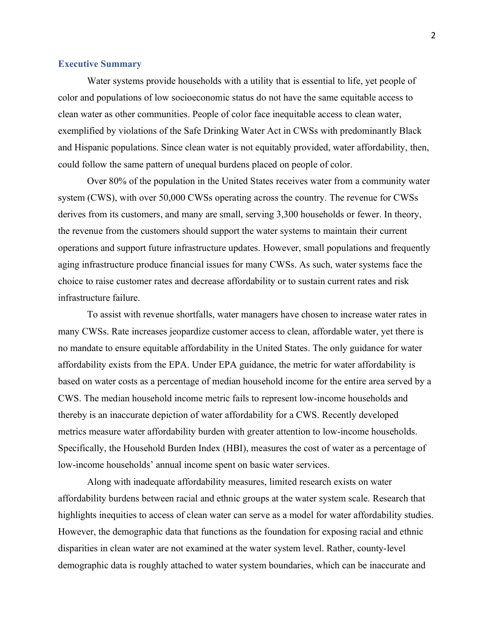#### **Executive Summary**

Water systems provide households with a utility that is essential to life, yet people of color and populations of low socioeconomic status do not have the same equitable access to clean water as other communities. People of color face inequitable access to clean water, exemplified by violations of the Safe Drinking Water Act in CWSs with predominantly Black and Hispanic populations. Since clean water is not equitably provided, water affordability, then, could follow the same pattern of unequal burdens placed on people of color.

Over 80% of the population in the United States receives water from a community water system (CWS), with over 50,000 CWSs operating across the country. The revenue for CWSs derives from its customers, and many are small, serving 3,300 households or fewer. In theory, the revenue from the customers should support the water systems to maintain their current operations and support future infrastructure updates. However, small populations and frequently aging infrastructure produce financial issues for many CWSs. As such, water systems face the choice to raise customer rates and decrease affordability or to sustain current rates and risk infrastructure failure.

To assist with revenue shortfalls, water managers have chosen to increase water rates in many CWSs. Rate increases jeopardize customer access to clean, affordable water, yet there is no mandate to ensure equitable affordability in the United States. The only guidance for water affordability exists from the EPA. Under EPA guidance, the metric for water affordability is based on water costs as a percentage of median household income for the entire area served by a CWS. The median household income metric fails to represent low-income households and thereby is an inaccurate depiction of water affordability for a CWS. Recently developed metrics measure water affordability burden with greater attention to low-income households. Specifically, the Household Burden Index (HBI), measures the cost of water as a percentage of low-income households' annual income spent on basic water services.

Along with inadequate affordability measures, limited research exists on water affordability burdens between racial and ethnic groups at the water system scale. Research that highlights inequities to access of clean water can serve as a model for water affordability studies. However, the demographic data that functions as the foundation for exposing racial and ethnic disparities in clean water are not examined at the water system level. Rather, county-level demographic data is roughly attached to water system boundaries, which can be inaccurate and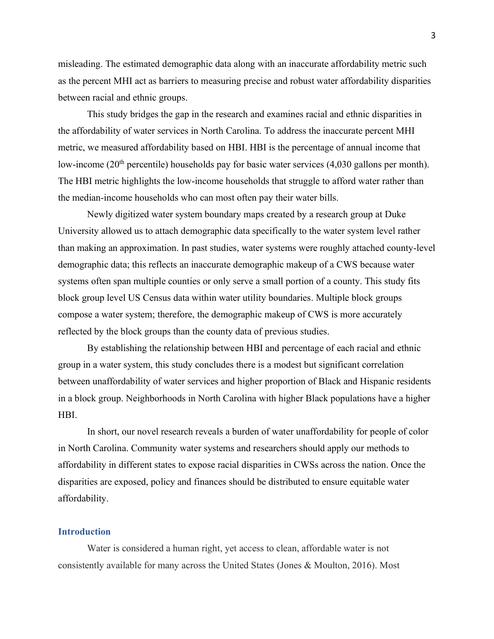misleading. The estimated demographic data along with an inaccurate affordability metric such as the percent MHI act as barriers to measuring precise and robust water affordability disparities between racial and ethnic groups.

This study bridges the gap in the research and examines racial and ethnic disparities in the affordability of water services in North Carolina. To address the inaccurate percent MHI metric, we measured affordability based on HBI. HBI is the percentage of annual income that low-income (20<sup>th</sup> percentile) households pay for basic water services (4,030 gallons per month). The HBI metric highlights the low-income households that struggle to afford water rather than the median-income households who can most often pay their water bills.

Newly digitized water system boundary maps created by a research group at Duke University allowed us to attach demographic data specifically to the water system level rather than making an approximation. In past studies, water systems were roughly attached county-level demographic data; this reflects an inaccurate demographic makeup of a CWS because water systems often span multiple counties or only serve a small portion of a county. This study fits block group level US Census data within water utility boundaries. Multiple block groups compose a water system; therefore, the demographic makeup of CWS is more accurately reflected by the block groups than the county data of previous studies.

By establishing the relationship between HBI and percentage of each racial and ethnic group in a water system, this study concludes there is a modest but significant correlation between unaffordability of water services and higher proportion of Black and Hispanic residents in a block group. Neighborhoods in North Carolina with higher Black populations have a higher HBI.

In short, our novel research reveals a burden of water unaffordability for people of color in North Carolina. Community water systems and researchers should apply our methods to affordability in different states to expose racial disparities in CWSs across the nation. Once the disparities are exposed, policy and finances should be distributed to ensure equitable water affordability.

### **Introduction**

Water is considered a human right, yet access to clean, affordable water is not consistently available for many across the United States (Jones & Moulton, 2016). Most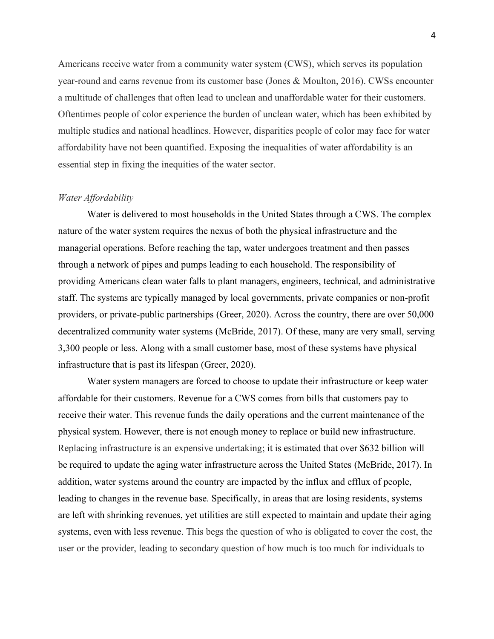Americans receive water from a community water system (CWS), which serves its population year-round and earns revenue from its customer base (Jones & Moulton, 2016). CWSs encounter a multitude of challenges that often lead to unclean and unaffordable water for their customers. Oftentimes people of color experience the burden of unclean water, which has been exhibited by multiple studies and national headlines. However, disparities people of color may face for water affordability have not been quantified. Exposing the inequalities of water affordability is an essential step in fixing the inequities of the water sector.

### *Water Affordability*

Water is delivered to most households in the United States through a CWS. The complex nature of the water system requires the nexus of both the physical infrastructure and the managerial operations. Before reaching the tap, water undergoes treatment and then passes through a network of pipes and pumps leading to each household. The responsibility of providing Americans clean water falls to plant managers, engineers, technical, and administrative staff. The systems are typically managed by local governments, private companies or non-profit providers, or private-public partnerships (Greer, 2020). Across the country, there are over 50,000 decentralized community water systems (McBride, 2017). Of these, many are very small, serving 3,300 people or less. Along with a small customer base, most of these systems have physical infrastructure that is past its lifespan (Greer, 2020).

Water system managers are forced to choose to update their infrastructure or keep water affordable for their customers. Revenue for a CWS comes from bills that customers pay to receive their water. This revenue funds the daily operations and the current maintenance of the physical system. However, there is not enough money to replace or build new infrastructure. Replacing infrastructure is an expensive undertaking; it is estimated that over \$632 billion will be required to update the aging water infrastructure across the United States (McBride, 2017). In addition, water systems around the country are impacted by the influx and efflux of people, leading to changes in the revenue base. Specifically, in areas that are losing residents, systems are left with shrinking revenues, yet utilities are still expected to maintain and update their aging systems, even with less revenue. This begs the question of who is obligated to cover the cost, the user or the provider, leading to secondary question of how much is too much for individuals to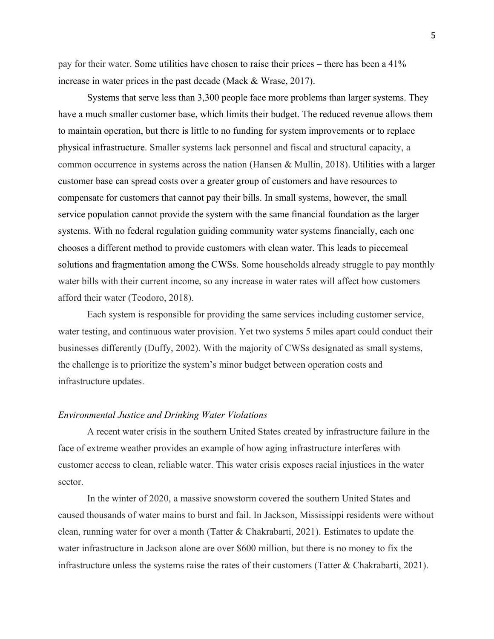pay for their water. Some utilities have chosen to raise their prices – there has been a 41% increase in water prices in the past decade (Mack & Wrase, 2017).

Systems that serve less than 3,300 people face more problems than larger systems. They have a much smaller customer base, which limits their budget. The reduced revenue allows them to maintain operation, but there is little to no funding for system improvements or to replace physical infrastructure. Smaller systems lack personnel and fiscal and structural capacity, a common occurrence in systems across the nation (Hansen & Mullin, 2018). Utilities with a larger customer base can spread costs over a greater group of customers and have resources to compensate for customers that cannot pay their bills. In small systems, however, the small service population cannot provide the system with the same financial foundation as the larger systems. With no federal regulation guiding community water systems financially, each one chooses a different method to provide customers with clean water. This leads to piecemeal solutions and fragmentation among the CWSs. Some households already struggle to pay monthly water bills with their current income, so any increase in water rates will affect how customers afford their water (Teodoro, 2018).

Each system is responsible for providing the same services including customer service, water testing, and continuous water provision. Yet two systems 5 miles apart could conduct their businesses differently (Duffy, 2002). With the majority of CWSs designated as small systems, the challenge is to prioritize the system's minor budget between operation costs and infrastructure updates.

#### *Environmental Justice and Drinking Water Violations*

A recent water crisis in the southern United States created by infrastructure failure in the face of extreme weather provides an example of how aging infrastructure interferes with customer access to clean, reliable water. This water crisis exposes racial injustices in the water sector.

In the winter of 2020, a massive snowstorm covered the southern United States and caused thousands of water mains to burst and fail. In Jackson, Mississippi residents were without clean, running water for over a month (Tatter & Chakrabarti, 2021). Estimates to update the water infrastructure in Jackson alone are over \$600 million, but there is no money to fix the infrastructure unless the systems raise the rates of their customers (Tatter & Chakrabarti, 2021).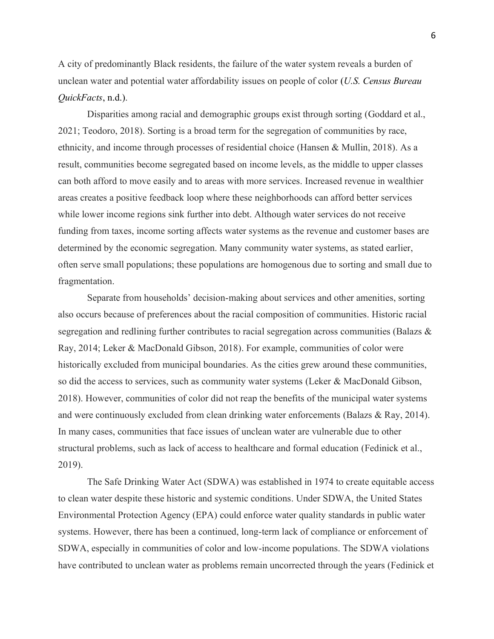A city of predominantly Black residents, the failure of the water system reveals a burden of unclean water and potential water affordability issues on people of color (*U.S. Census Bureau QuickFacts*, n.d.).

Disparities among racial and demographic groups exist through sorting (Goddard et al., 2021; Teodoro, 2018). Sorting is a broad term for the segregation of communities by race, ethnicity, and income through processes of residential choice (Hansen & Mullin, 2018). As a result, communities become segregated based on income levels, as the middle to upper classes can both afford to move easily and to areas with more services. Increased revenue in wealthier areas creates a positive feedback loop where these neighborhoods can afford better services while lower income regions sink further into debt. Although water services do not receive funding from taxes, income sorting affects water systems as the revenue and customer bases are determined by the economic segregation. Many community water systems, as stated earlier, often serve small populations; these populations are homogenous due to sorting and small due to fragmentation.

Separate from households' decision-making about services and other amenities, sorting also occurs because of preferences about the racial composition of communities. Historic racial segregation and redlining further contributes to racial segregation across communities (Balazs & Ray, 2014; Leker & MacDonald Gibson, 2018). For example, communities of color were historically excluded from municipal boundaries. As the cities grew around these communities, so did the access to services, such as community water systems (Leker & MacDonald Gibson, 2018). However, communities of color did not reap the benefits of the municipal water systems and were continuously excluded from clean drinking water enforcements (Balazs & Ray, 2014). In many cases, communities that face issues of unclean water are vulnerable due to other structural problems, such as lack of access to healthcare and formal education (Fedinick et al., 2019).

The Safe Drinking Water Act (SDWA) was established in 1974 to create equitable access to clean water despite these historic and systemic conditions. Under SDWA, the United States Environmental Protection Agency (EPA) could enforce water quality standards in public water systems. However, there has been a continued, long-term lack of compliance or enforcement of SDWA, especially in communities of color and low-income populations. The SDWA violations have contributed to unclean water as problems remain uncorrected through the years (Fedinick et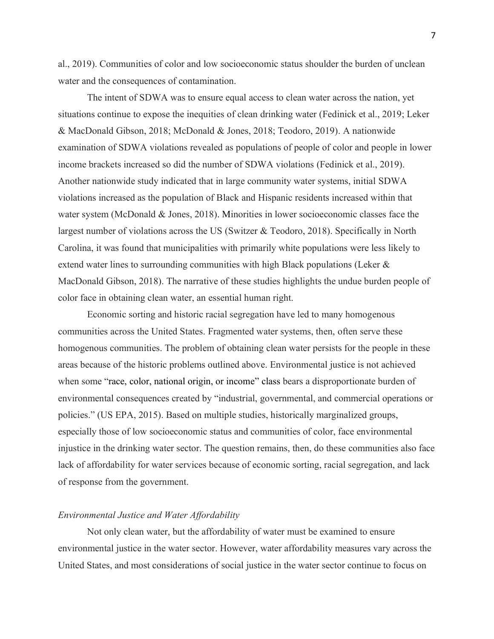al., 2019). Communities of color and low socioeconomic status shoulder the burden of unclean water and the consequences of contamination.

The intent of SDWA was to ensure equal access to clean water across the nation, yet situations continue to expose the inequities of clean drinking water (Fedinick et al., 2019; Leker & MacDonald Gibson, 2018; McDonald & Jones, 2018; Teodoro, 2019). A nationwide examination of SDWA violations revealed as populations of people of color and people in lower income brackets increased so did the number of SDWA violations (Fedinick et al., 2019). Another nationwide study indicated that in large community water systems, initial SDWA violations increased as the population of Black and Hispanic residents increased within that water system (McDonald & Jones, 2018). Minorities in lower socioeconomic classes face the largest number of violations across the US (Switzer & Teodoro, 2018). Specifically in North Carolina, it was found that municipalities with primarily white populations were less likely to extend water lines to surrounding communities with high Black populations (Leker & MacDonald Gibson, 2018). The narrative of these studies highlights the undue burden people of color face in obtaining clean water, an essential human right.

Economic sorting and historic racial segregation have led to many homogenous communities across the United States. Fragmented water systems, then, often serve these homogenous communities. The problem of obtaining clean water persists for the people in these areas because of the historic problems outlined above. Environmental justice is not achieved when some "race, color, national origin, or income" class bears a disproportionate burden of environmental consequences created by "industrial, governmental, and commercial operations or policies." (US EPA, 2015). Based on multiple studies, historically marginalized groups, especially those of low socioeconomic status and communities of color, face environmental injustice in the drinking water sector. The question remains, then, do these communities also face lack of affordability for water services because of economic sorting, racial segregation, and lack of response from the government.

### *Environmental Justice and Water Affordability*

Not only clean water, but the affordability of water must be examined to ensure environmental justice in the water sector. However, water affordability measures vary across the United States, and most considerations of social justice in the water sector continue to focus on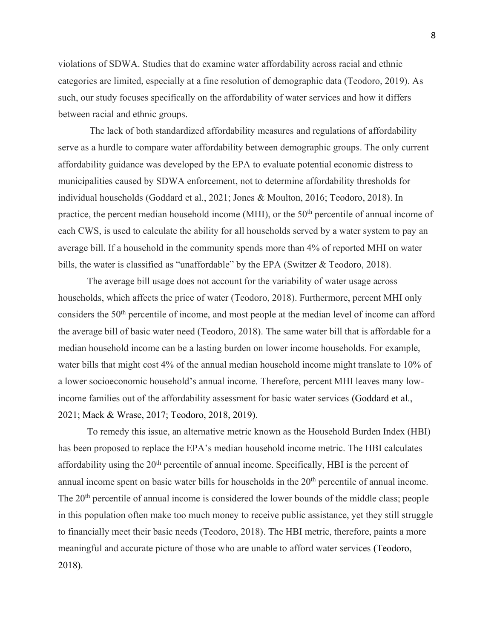violations of SDWA. Studies that do examine water affordability across racial and ethnic categories are limited, especially at a fine resolution of demographic data (Teodoro, 2019). As such, our study focuses specifically on the affordability of water services and how it differs between racial and ethnic groups.

The lack of both standardized affordability measures and regulations of affordability serve as a hurdle to compare water affordability between demographic groups. The only current affordability guidance was developed by the EPA to evaluate potential economic distress to municipalities caused by SDWA enforcement, not to determine affordability thresholds for individual households (Goddard et al., 2021; Jones & Moulton, 2016; Teodoro, 2018). In practice, the percent median household income (MHI), or the  $50<sup>th</sup>$  percentile of annual income of each CWS, is used to calculate the ability for all households served by a water system to pay an average bill. If a household in the community spends more than 4% of reported MHI on water bills, the water is classified as "unaffordable" by the EPA (Switzer & Teodoro, 2018).

The average bill usage does not account for the variability of water usage across households, which affects the price of water (Teodoro, 2018). Furthermore, percent MHI only considers the 50th percentile of income, and most people at the median level of income can afford the average bill of basic water need (Teodoro, 2018). The same water bill that is affordable for a median household income can be a lasting burden on lower income households. For example, water bills that might cost 4% of the annual median household income might translate to 10% of a lower socioeconomic household's annual income. Therefore, percent MHI leaves many lowincome families out of the affordability assessment for basic water services (Goddard et al., 2021; Mack & Wrase, 2017; Teodoro, 2018, 2019).

To remedy this issue, an alternative metric known as the Household Burden Index (HBI) has been proposed to replace the EPA's median household income metric. The HBI calculates affordability using the  $20<sup>th</sup>$  percentile of annual income. Specifically, HBI is the percent of annual income spent on basic water bills for households in the  $20<sup>th</sup>$  percentile of annual income. The 20<sup>th</sup> percentile of annual income is considered the lower bounds of the middle class; people in this population often make too much money to receive public assistance, yet they still struggle to financially meet their basic needs (Teodoro, 2018). The HBI metric, therefore, paints a more meaningful and accurate picture of those who are unable to afford water services (Teodoro, 2018).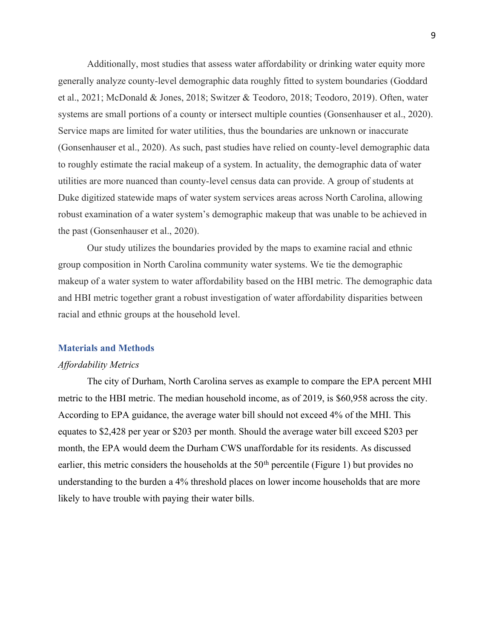Additionally, most studies that assess water affordability or drinking water equity more generally analyze county-level demographic data roughly fitted to system boundaries (Goddard et al., 2021; McDonald & Jones, 2018; Switzer & Teodoro, 2018; Teodoro, 2019). Often, water systems are small portions of a county or intersect multiple counties (Gonsenhauser et al., 2020). Service maps are limited for water utilities, thus the boundaries are unknown or inaccurate (Gonsenhauser et al., 2020). As such, past studies have relied on county-level demographic data to roughly estimate the racial makeup of a system. In actuality, the demographic data of water utilities are more nuanced than county-level census data can provide. A group of students at Duke digitized statewide maps of water system services areas across North Carolina, allowing robust examination of a water system's demographic makeup that was unable to be achieved in the past (Gonsenhauser et al., 2020).

Our study utilizes the boundaries provided by the maps to examine racial and ethnic group composition in North Carolina community water systems. We tie the demographic makeup of a water system to water affordability based on the HBI metric. The demographic data and HBI metric together grant a robust investigation of water affordability disparities between racial and ethnic groups at the household level.

### **Materials and Methods**

#### *Affordability Metrics*

The city of Durham, North Carolina serves as example to compare the EPA percent MHI metric to the HBI metric. The median household income, as of 2019, is \$60,958 across the city. According to EPA guidance, the average water bill should not exceed 4% of the MHI. This equates to \$2,428 per year or \$203 per month. Should the average water bill exceed \$203 per month, the EPA would deem the Durham CWS unaffordable for its residents. As discussed earlier, this metric considers the households at the  $50<sup>th</sup>$  percentile (Figure 1) but provides no understanding to the burden a 4% threshold places on lower income households that are more likely to have trouble with paying their water bills.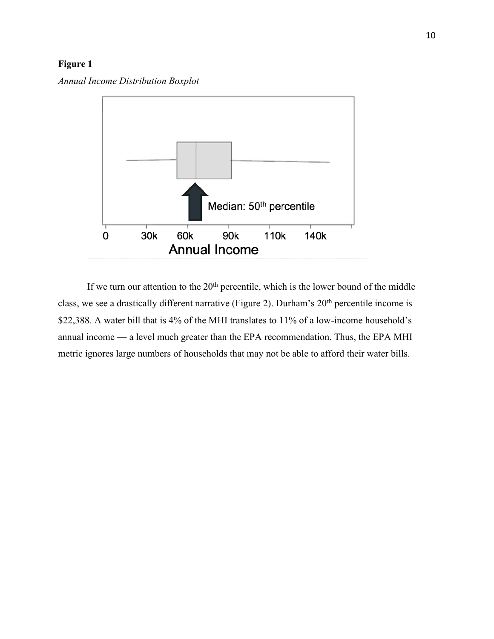# **Figure 1**

*Annual Income Distribution Boxplot*



If we turn our attention to the  $20<sup>th</sup>$  percentile, which is the lower bound of the middle class, we see a drastically different narrative (Figure 2). Durham's 20<sup>th</sup> percentile income is \$22,388. A water bill that is 4% of the MHI translates to 11% of a low-income household's annual income — a level much greater than the EPA recommendation. Thus, the EPA MHI metric ignores large numbers of households that may not be able to afford their water bills.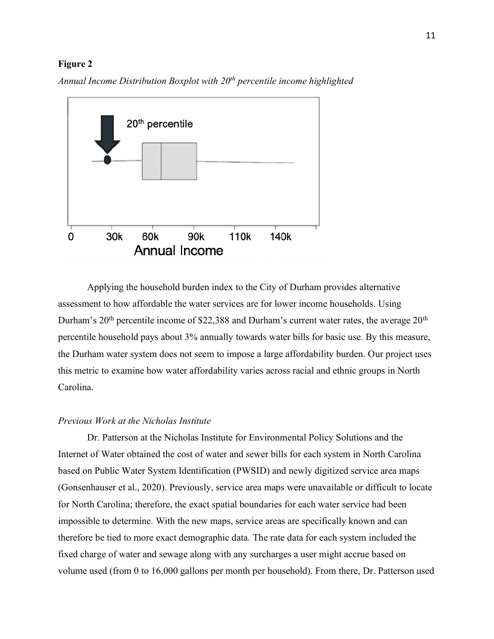### **Figure 2**

*Annual Income Distribution Boxplot with 20th percentile income highlighted*



Applying the household burden index to the City of Durham provides alternative assessment to how affordable the water services are for lower income households. Using Durham's  $20<sup>th</sup>$  percentile income of \$22,388 and Durham's current water rates, the average  $20<sup>th</sup>$ percentile household pays about 3% annually towards water bills for basic use. By this measure, the Durham water system does not seem to impose a large affordability burden. Our project uses this metric to examine how water affordability varies across racial and ethnic groups in North Carolina.

### *Previous Work at the Nicholas Institute*

Dr. Patterson at the Nicholas Institute for Environmental Policy Solutions and the Internet of Water obtained the cost of water and sewer bills for each system in North Carolina based on Public Water System Identification (PWSID) and newly digitized service area maps (Gonsenhauser et al., 2020). Previously, service area maps were unavailable or difficult to locate for North Carolina; therefore, the exact spatial boundaries for each water service had been impossible to determine. With the new maps, service areas are specifically known and can therefore be tied to more exact demographic data. The rate data for each system included the fixed charge of water and sewage along with any surcharges a user might accrue based on volume used (from 0 to 16,000 gallons per month per household). From there, Dr. Patterson used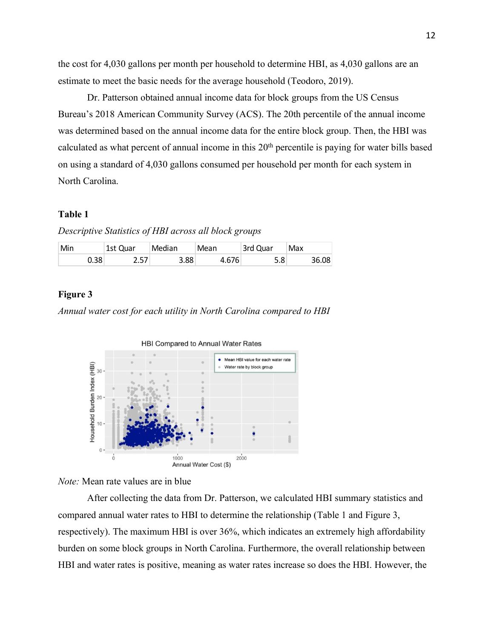the cost for 4,030 gallons per month per household to determine HBI, as 4,030 gallons are an estimate to meet the basic needs for the average household (Teodoro, 2019).

Dr. Patterson obtained annual income data for block groups from the US Census Bureau's 2018 American Community Survey (ACS). The 20th percentile of the annual income was determined based on the annual income data for the entire block group. Then, the HBI was calculated as what percent of annual income in this 20<sup>th</sup> percentile is paying for water bills based on using a standard of 4,030 gallons consumed per household per month for each system in North Carolina.

# **Table 1**

*Descriptive Statistics of HBI across all block groups*

| Min  | 1st Quar  | Median         | Mean | 3rd Quar | Max   |
|------|-----------|----------------|------|----------|-------|
| Ა.38 | 57<br>، ب | $3.88^{\circ}$ | 676  | 5.8      | 36.08 |

### **Figure 3**

*Annual water cost for each utility in North Carolina compared to HBI* 



*Note:* Mean rate values are in blue

After collecting the data from Dr. Patterson, we calculated HBI summary statistics and compared annual water rates to HBI to determine the relationship (Table 1 and Figure 3, respectively). The maximum HBI is over 36%, which indicates an extremely high affordability burden on some block groups in North Carolina. Furthermore, the overall relationship between HBI and water rates is positive, meaning as water rates increase so does the HBI. However, the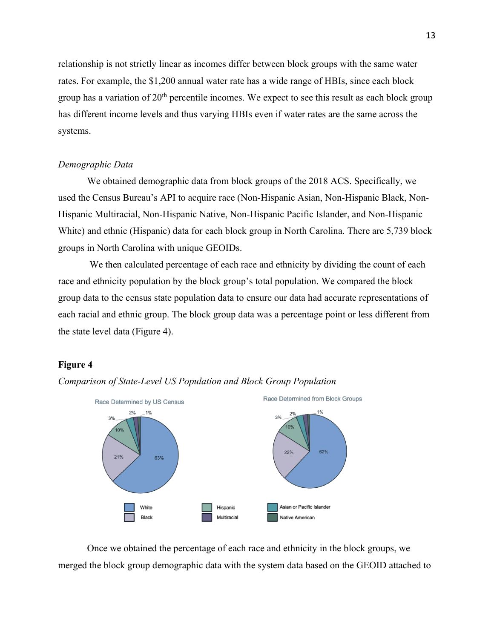relationship is not strictly linear as incomes differ between block groups with the same water rates. For example, the \$1,200 annual water rate has a wide range of HBIs, since each block group has a variation of  $20<sup>th</sup>$  percentile incomes. We expect to see this result as each block group has different income levels and thus varying HBIs even if water rates are the same across the systems.

### *Demographic Data*

We obtained demographic data from block groups of the 2018 ACS. Specifically, we used the Census Bureau's API to acquire race (Non-Hispanic Asian, Non-Hispanic Black, Non-Hispanic Multiracial, Non-Hispanic Native, Non-Hispanic Pacific Islander, and Non-Hispanic White) and ethnic (Hispanic) data for each block group in North Carolina. There are 5,739 block groups in North Carolina with unique GEOIDs.

We then calculated percentage of each race and ethnicity by dividing the count of each race and ethnicity population by the block group's total population. We compared the block group data to the census state population data to ensure our data had accurate representations of each racial and ethnic group. The block group data was a percentage point or less different from the state level data (Figure 4).

### **Figure 4**



*Comparison of State-Level US Population and Block Group Population*

Once we obtained the percentage of each race and ethnicity in the block groups, we merged the block group demographic data with the system data based on the GEOID attached to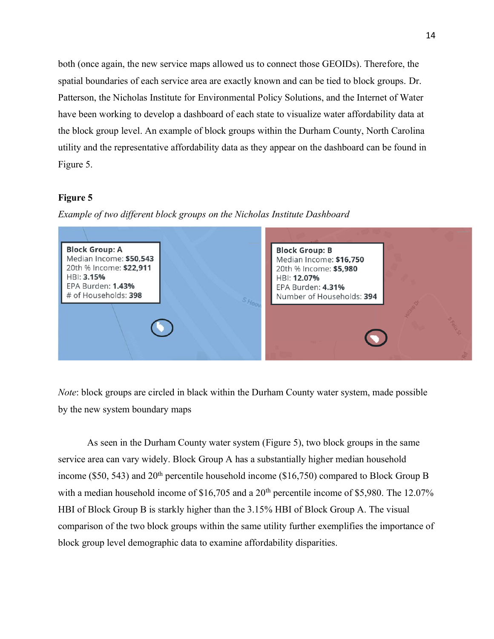both (once again, the new service maps allowed us to connect those GEOIDs). Therefore, the spatial boundaries of each service area are exactly known and can be tied to block groups. Dr. Patterson, the Nicholas Institute for Environmental Policy Solutions, and the Internet of Water have been working to develop a dashboard of each state to visualize water affordability data at the block group level. An example of block groups within the Durham County, North Carolina utility and the representative affordability data as they appear on the dashboard can be found in Figure 5.

# **Figure 5**

*Example of two different block groups on the Nicholas Institute Dashboard*



*Note*: block groups are circled in black within the Durham County water system, made possible by the new system boundary maps

As seen in the Durham County water system (Figure 5), two block groups in the same service area can vary widely. Block Group A has a substantially higher median household income (\$50, 543) and  $20<sup>th</sup>$  percentile household income (\$16,750) compared to Block Group B with a median household income of  $$16,705$  and a  $20<sup>th</sup>$  percentile income of \$5,980. The 12.07% HBI of Block Group B is starkly higher than the 3.15% HBI of Block Group A. The visual comparison of the two block groups within the same utility further exemplifies the importance of block group level demographic data to examine affordability disparities.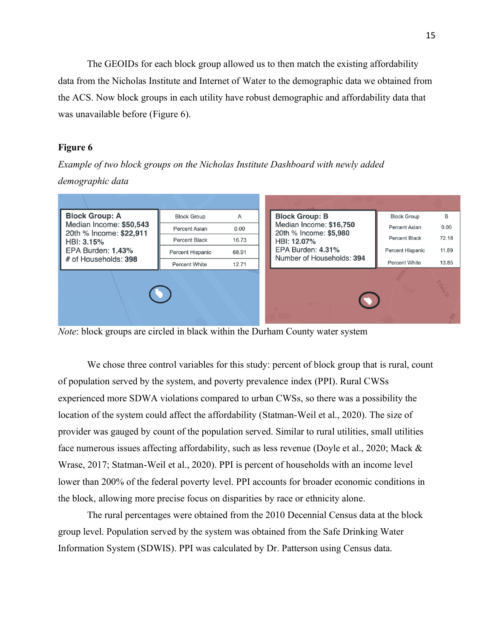The GEOIDs for each block group allowed us to then match the existing affordability data from the Nicholas Institute and Internet of Water to the demographic data we obtained from the ACS. Now block groups in each utility have robust demographic and affordability data that was unavailable before (Figure 6).

# **Figure 6**

*Example of two block groups on the Nicholas Institute Dashboard with newly added demographic data*



*Note*: block groups are circled in black within the Durham County water system

We chose three control variables for this study: percent of block group that is rural, count of population served by the system, and poverty prevalence index (PPI). Rural CWSs experienced more SDWA violations compared to urban CWSs, so there was a possibility the location of the system could affect the affordability (Statman-Weil et al., 2020). The size of provider was gauged by count of the population served. Similar to rural utilities, small utilities face numerous issues affecting affordability, such as less revenue (Doyle et al., 2020; Mack & Wrase, 2017; Statman-Weil et al., 2020). PPI is percent of households with an income level lower than 200% of the federal poverty level. PPI accounts for broader economic conditions in the block, allowing more precise focus on disparities by race or ethnicity alone.

The rural percentages were obtained from the 2010 Decennial Census data at the block group level. Population served by the system was obtained from the Safe Drinking Water Information System (SDWIS). PPI was calculated by Dr. Patterson using Census data.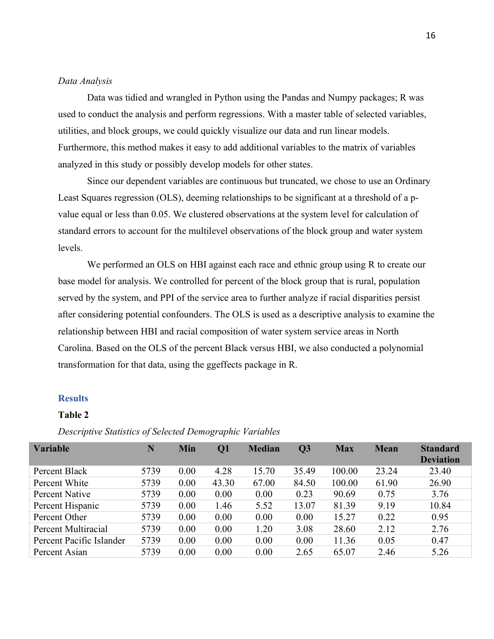### *Data Analysis*

Data was tidied and wrangled in Python using the Pandas and Numpy packages; R was used to conduct the analysis and perform regressions. With a master table of selected variables, utilities, and block groups, we could quickly visualize our data and run linear models. Furthermore, this method makes it easy to add additional variables to the matrix of variables analyzed in this study or possibly develop models for other states.

Since our dependent variables are continuous but truncated, we chose to use an Ordinary Least Squares regression (OLS), deeming relationships to be significant at a threshold of a pvalue equal or less than 0.05. We clustered observations at the system level for calculation of standard errors to account for the multilevel observations of the block group and water system levels.

We performed an OLS on HBI against each race and ethnic group using R to create our base model for analysis. We controlled for percent of the block group that is rural, population served by the system, and PPI of the service area to further analyze if racial disparities persist after considering potential confounders. The OLS is used as a descriptive analysis to examine the relationship between HBI and racial composition of water system service areas in North Carolina. Based on the OLS of the percent Black versus HBI, we also conducted a polynomial transformation for that data, using the ggeffects package in R.

### **Results**

### **Table 2**

| <b>Variable</b>          | N    | Min  | $\mathbf{Q}$ | <b>Median</b> | $\overline{Q}3$ | <b>Max</b> | <b>Mean</b> | <b>Standard</b><br><b>Deviation</b> |
|--------------------------|------|------|--------------|---------------|-----------------|------------|-------------|-------------------------------------|
| Percent Black            | 5739 | 0.00 | 4.28         | 15.70         | 35.49           | 100.00     | 23.24       | 23.40                               |
| Percent White            | 5739 | 0.00 | 43.30        | 67.00         | 84.50           | 100.00     | 61.90       | 26.90                               |
| Percent Native           | 5739 | 0.00 | 0.00         | 0.00          | 0.23            | 90.69      | 0.75        | 3.76                                |
| Percent Hispanic         | 5739 | 0.00 | 1.46         | 5.52          | 13.07           | 81.39      | 9.19        | 10.84                               |
| Percent Other            | 5739 | 0.00 | 0.00         | 0.00          | 0.00            | 15.27      | 0.22        | 0.95                                |
| Percent Multiracial      | 5739 | 0.00 | 0.00         | 1.20          | 3.08            | 28.60      | 2.12        | 2.76                                |
| Percent Pacific Islander | 5739 | 0.00 | 0.00         | 0.00          | 0.00            | 11.36      | 0.05        | 0.47                                |
| Percent Asian            | 5739 | 0.00 | 0.00         | 0.00          | 2.65            | 65.07      | 2.46        | 5.26                                |

### *Descriptive Statistics of Selected Demographic Variables*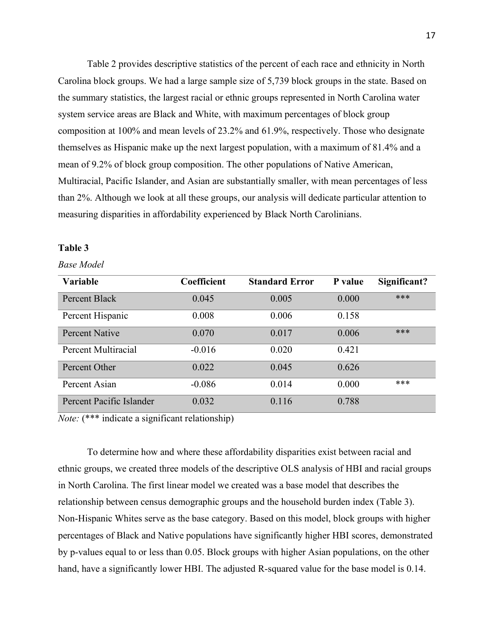Table 2 provides descriptive statistics of the percent of each race and ethnicity in North Carolina block groups. We had a large sample size of 5,739 block groups in the state. Based on the summary statistics, the largest racial or ethnic groups represented in North Carolina water system service areas are Black and White, with maximum percentages of block group composition at 100% and mean levels of 23.2% and 61.9%, respectively. Those who designate themselves as Hispanic make up the next largest population, with a maximum of 81.4% and a mean of 9.2% of block group composition. The other populations of Native American, Multiracial, Pacific Islander, and Asian are substantially smaller, with mean percentages of less than 2%. Although we look at all these groups, our analysis will dedicate particular attention to measuring disparities in affordability experienced by Black North Carolinians.

### **Table 3**

#### *Base Model*

| <b>Variable</b>          | Coefficient | <b>Standard Error</b> | P value | Significant? |
|--------------------------|-------------|-----------------------|---------|--------------|
| Percent Black            | 0.045       | 0.005                 | 0.000   | ***          |
| Percent Hispanic         | 0.008       | 0.006                 | 0.158   |              |
| <b>Percent Native</b>    | 0.070       | 0.017                 | 0.006   | ***          |
| Percent Multiracial      | $-0.016$    | 0.020                 | 0.421   |              |
| Percent Other            | 0.022       | 0.045                 | 0.626   |              |
| Percent Asian            | $-0.086$    | 0.014                 | 0.000   | ***          |
| Percent Pacific Islander | 0.032       | 0.116                 | 0.788   |              |

*Note:* (\*\*\* indicate a significant relationship)

To determine how and where these affordability disparities exist between racial and ethnic groups, we created three models of the descriptive OLS analysis of HBI and racial groups in North Carolina. The first linear model we created was a base model that describes the relationship between census demographic groups and the household burden index (Table 3). Non-Hispanic Whites serve as the base category. Based on this model, block groups with higher percentages of Black and Native populations have significantly higher HBI scores, demonstrated by p-values equal to or less than 0.05. Block groups with higher Asian populations, on the other hand, have a significantly lower HBI. The adjusted R-squared value for the base model is 0.14.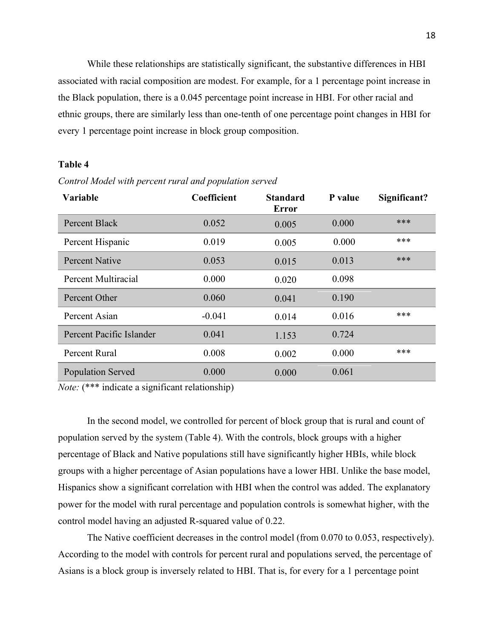While these relationships are statistically significant, the substantive differences in HBI associated with racial composition are modest. For example, for a 1 percentage point increase in the Black population, there is a 0.045 percentage point increase in HBI. For other racial and ethnic groups, there are similarly less than one-tenth of one percentage point changes in HBI for every 1 percentage point increase in block group composition.

# **Table 4**

| <b>Variable</b>          | Coefficient | <b>Standard</b><br><b>Error</b> | P value | Significant? |
|--------------------------|-------------|---------------------------------|---------|--------------|
| Percent Black            | 0.052       | 0.005                           | 0.000   | ***          |
| Percent Hispanic         | 0.019       | 0.005                           | 0.000   | ***          |
| Percent Native           | 0.053       | 0.015                           | 0.013   | ***          |
| Percent Multiracial      | 0.000       | 0.020                           | 0.098   |              |
| Percent Other            | 0.060       | 0.041                           | 0.190   |              |
| Percent Asian            | $-0.041$    | 0.014                           | 0.016   | ***          |
| Percent Pacific Islander | 0.041       | 1.153                           | 0.724   |              |
| Percent Rural            | 0.008       | 0.002                           | 0.000   | ***          |
| <b>Population Served</b> | 0.000       | 0.000                           | 0.061   |              |

*Control Model with percent rural and population served* 

*Note:* (\*\*\* indicate a significant relationship)

In the second model, we controlled for percent of block group that is rural and count of population served by the system (Table 4). With the controls, block groups with a higher percentage of Black and Native populations still have significantly higher HBIs, while block groups with a higher percentage of Asian populations have a lower HBI. Unlike the base model, Hispanics show a significant correlation with HBI when the control was added. The explanatory power for the model with rural percentage and population controls is somewhat higher, with the control model having an adjusted R-squared value of 0.22.

The Native coefficient decreases in the control model (from 0.070 to 0.053, respectively). According to the model with controls for percent rural and populations served, the percentage of Asians is a block group is inversely related to HBI. That is, for every for a 1 percentage point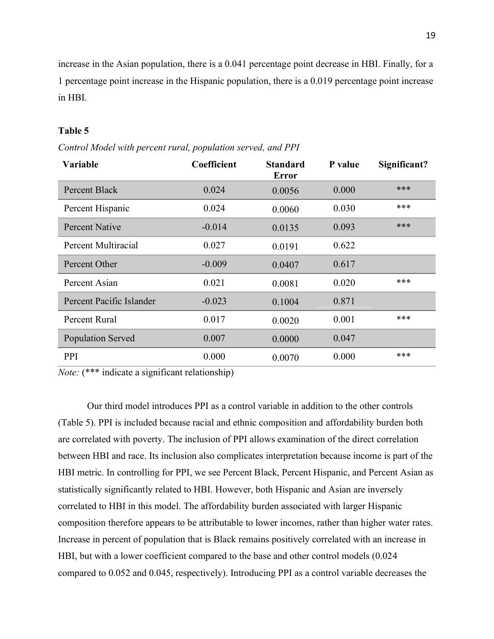increase in the Asian population, there is a 0.041 percentage point decrease in HBI. Finally, for a 1 percentage point increase in the Hispanic population, there is a 0.019 percentage point increase in HBI.

### **Table 5**

*Control Model with percent rural, population served, and PPI* 

| Variable                 | <b>Coefficient</b> | <b>Standard</b><br><b>Error</b> | P value | Significant? |
|--------------------------|--------------------|---------------------------------|---------|--------------|
| Percent Black            | 0.024              | 0.0056                          | 0.000   | ***          |
| Percent Hispanic         | 0.024              | 0.0060                          | 0.030   | ***          |
| <b>Percent Native</b>    | $-0.014$           | 0.0135                          | 0.093   | ***          |
| Percent Multiracial      | 0.027              | 0.0191                          | 0.622   |              |
| Percent Other            | $-0.009$           | 0.0407                          | 0.617   |              |
| Percent Asian            | 0.021              | 0.0081                          | 0.020   | ***          |
| Percent Pacific Islander | $-0.023$           | 0.1004                          | 0.871   |              |
| Percent Rural            | 0.017              | 0.0020                          | 0.001   | ***          |
| <b>Population Served</b> | 0.007              | 0.0000                          | 0.047   |              |
| PPI                      | 0.000              | 0.0070                          | 0.000   | ***          |

*Note:* (\*\*\* indicate a significant relationship)

Our third model introduces PPI as a control variable in addition to the other controls (Table 5). PPI is included because racial and ethnic composition and affordability burden both are correlated with poverty. The inclusion of PPI allows examination of the direct correlation between HBI and race. Its inclusion also complicates interpretation because income is part of the HBI metric. In controlling for PPI, we see Percent Black, Percent Hispanic, and Percent Asian as statistically significantly related to HBI. However, both Hispanic and Asian are inversely correlated to HBI in this model. The affordability burden associated with larger Hispanic composition therefore appears to be attributable to lower incomes, rather than higher water rates. Increase in percent of population that is Black remains positively correlated with an increase in HBI, but with a lower coefficient compared to the base and other control models (0.024 compared to 0.052 and 0.045, respectively). Introducing PPI as a control variable decreases the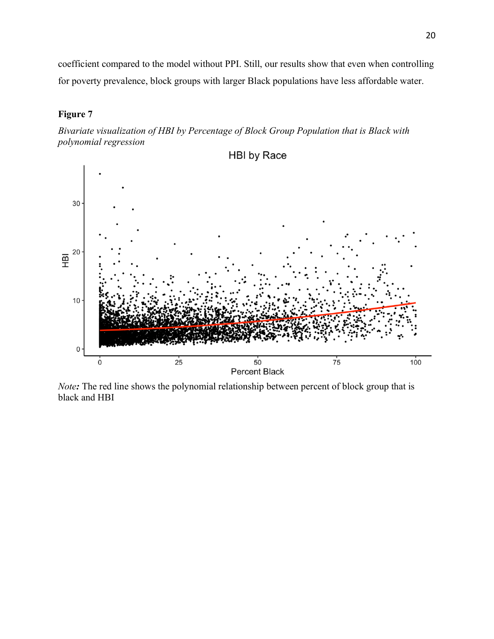coefficient compared to the model without PPI. Still, our results show that even when controlling for poverty prevalence, block groups with larger Black populations have less affordable water.

# **Figure 7**

*Bivariate visualization of HBI by Percentage of Block Group Population that is Black with polynomial regression*



*Note:* The red line shows the polynomial relationship between percent of block group that is black and HBI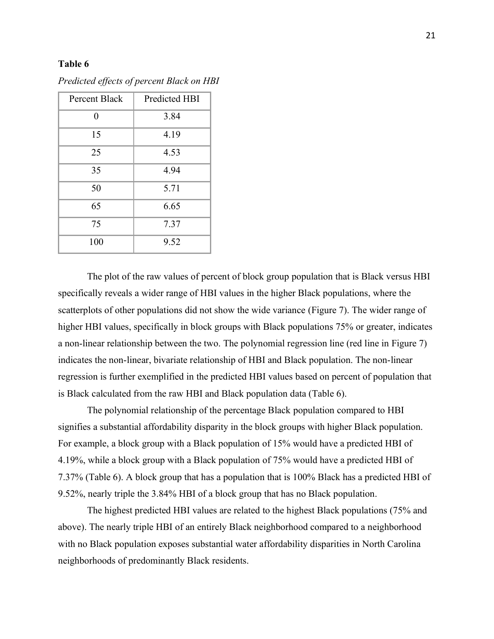### **Table 6**

| <b>Percent Black</b> | Predicted HBI |  |  |
|----------------------|---------------|--|--|
| 0                    | 3.84          |  |  |
| 15                   | 4.19          |  |  |
| 25                   | 4.53          |  |  |
| 35                   | 4.94          |  |  |
| 50                   | 5.71          |  |  |
| 65                   | 6.65          |  |  |
| 75                   | 7.37          |  |  |
| 100                  | 9.52          |  |  |

*Predicted effects of percent Black on HBI*

The plot of the raw values of percent of block group population that is Black versus HBI specifically reveals a wider range of HBI values in the higher Black populations, where the scatterplots of other populations did not show the wide variance (Figure 7). The wider range of higher HBI values, specifically in block groups with Black populations 75% or greater, indicates a non-linear relationship between the two. The polynomial regression line (red line in Figure 7) indicates the non-linear, bivariate relationship of HBI and Black population. The non-linear regression is further exemplified in the predicted HBI values based on percent of population that is Black calculated from the raw HBI and Black population data (Table 6).

The polynomial relationship of the percentage Black population compared to HBI signifies a substantial affordability disparity in the block groups with higher Black population. For example, a block group with a Black population of 15% would have a predicted HBI of 4.19%, while a block group with a Black population of 75% would have a predicted HBI of 7.37% (Table 6). A block group that has a population that is 100% Black has a predicted HBI of 9.52%, nearly triple the 3.84% HBI of a block group that has no Black population.

The highest predicted HBI values are related to the highest Black populations (75% and above). The nearly triple HBI of an entirely Black neighborhood compared to a neighborhood with no Black population exposes substantial water affordability disparities in North Carolina neighborhoods of predominantly Black residents.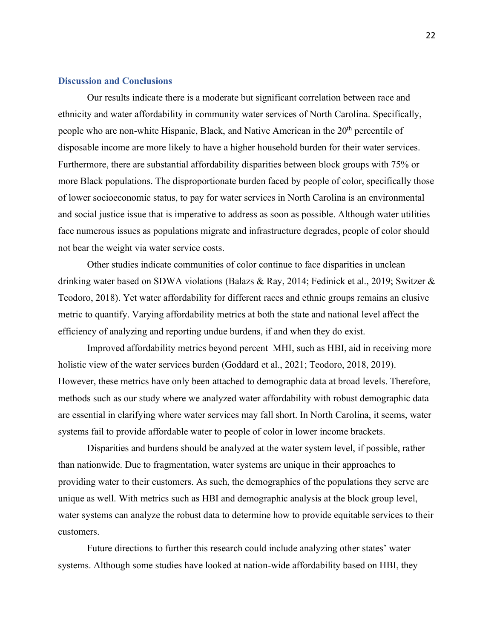### **Discussion and Conclusions**

Our results indicate there is a moderate but significant correlation between race and ethnicity and water affordability in community water services of North Carolina. Specifically, people who are non-white Hispanic, Black, and Native American in the 20<sup>th</sup> percentile of disposable income are more likely to have a higher household burden for their water services. Furthermore, there are substantial affordability disparities between block groups with 75% or more Black populations. The disproportionate burden faced by people of color, specifically those of lower socioeconomic status, to pay for water services in North Carolina is an environmental and social justice issue that is imperative to address as soon as possible. Although water utilities face numerous issues as populations migrate and infrastructure degrades, people of color should not bear the weight via water service costs.

Other studies indicate communities of color continue to face disparities in unclean drinking water based on SDWA violations (Balazs & Ray, 2014; Fedinick et al., 2019; Switzer & Teodoro, 2018). Yet water affordability for different races and ethnic groups remains an elusive metric to quantify. Varying affordability metrics at both the state and national level affect the efficiency of analyzing and reporting undue burdens, if and when they do exist.

Improved affordability metrics beyond percent MHI, such as HBI, aid in receiving more holistic view of the water services burden (Goddard et al., 2021; Teodoro, 2018, 2019). However, these metrics have only been attached to demographic data at broad levels. Therefore, methods such as our study where we analyzed water affordability with robust demographic data are essential in clarifying where water services may fall short. In North Carolina, it seems, water systems fail to provide affordable water to people of color in lower income brackets.

Disparities and burdens should be analyzed at the water system level, if possible, rather than nationwide. Due to fragmentation, water systems are unique in their approaches to providing water to their customers. As such, the demographics of the populations they serve are unique as well. With metrics such as HBI and demographic analysis at the block group level, water systems can analyze the robust data to determine how to provide equitable services to their customers.

Future directions to further this research could include analyzing other states' water systems. Although some studies have looked at nation-wide affordability based on HBI, they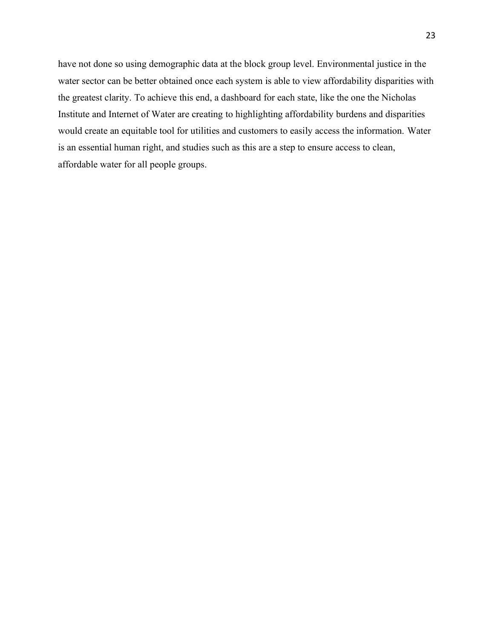have not done so using demographic data at the block group level. Environmental justice in the water sector can be better obtained once each system is able to view affordability disparities with the greatest clarity. To achieve this end, a dashboard for each state, like the one the Nicholas Institute and Internet of Water are creating to highlighting affordability burdens and disparities would create an equitable tool for utilities and customers to easily access the information. Water is an essential human right, and studies such as this are a step to ensure access to clean, affordable water for all people groups.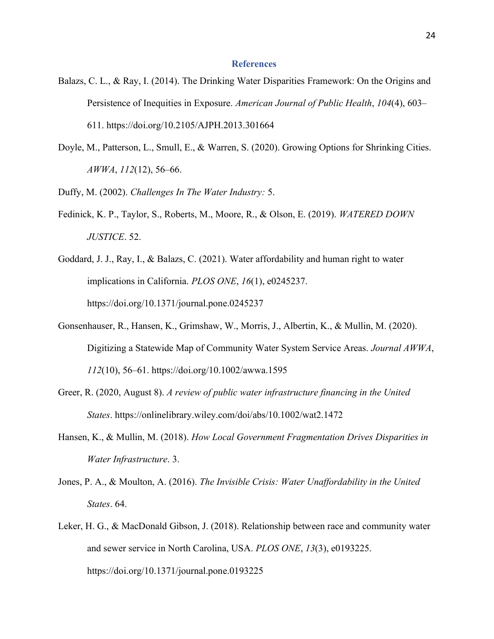#### **References**

- Balazs, C. L., & Ray, I. (2014). The Drinking Water Disparities Framework: On the Origins and Persistence of Inequities in Exposure. *American Journal of Public Health*, *104*(4), 603– 611. https://doi.org/10.2105/AJPH.2013.301664
- Doyle, M., Patterson, L., Smull, E., & Warren, S. (2020). Growing Options for Shrinking Cities. *AWWA*, *112*(12), 56–66.
- Duffy, M. (2002). *Challenges In The Water Industry:* 5.
- Fedinick, K. P., Taylor, S., Roberts, M., Moore, R., & Olson, E. (2019). *WATERED DOWN JUSTICE*. 52.
- Goddard, J. J., Ray, I., & Balazs, C. (2021). Water affordability and human right to water implications in California. *PLOS ONE*, *16*(1), e0245237. https://doi.org/10.1371/journal.pone.0245237
- Gonsenhauser, R., Hansen, K., Grimshaw, W., Morris, J., Albertin, K., & Mullin, M. (2020). Digitizing a Statewide Map of Community Water System Service Areas. *Journal AWWA*, *112*(10), 56–61. https://doi.org/10.1002/awwa.1595
- Greer, R. (2020, August 8). *A review of public water infrastructure financing in the United States*. https://onlinelibrary.wiley.com/doi/abs/10.1002/wat2.1472
- Hansen, K., & Mullin, M. (2018). *How Local Government Fragmentation Drives Disparities in Water Infrastructure*. 3.
- Jones, P. A., & Moulton, A. (2016). *The Invisible Crisis: Water Unaffordability in the United States*. 64.
- Leker, H. G., & MacDonald Gibson, J. (2018). Relationship between race and community water and sewer service in North Carolina, USA. *PLOS ONE*, *13*(3), e0193225. https://doi.org/10.1371/journal.pone.0193225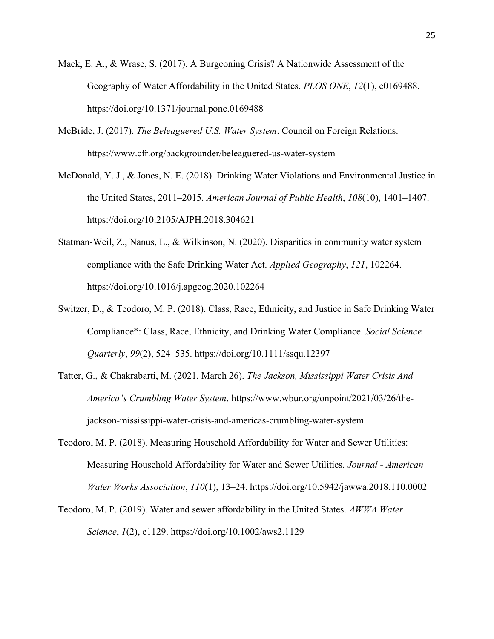- Mack, E. A., & Wrase, S. (2017). A Burgeoning Crisis? A Nationwide Assessment of the Geography of Water Affordability in the United States. *PLOS ONE*, *12*(1), e0169488. https://doi.org/10.1371/journal.pone.0169488
- McBride, J. (2017). *The Beleaguered U.S. Water System*. Council on Foreign Relations. https://www.cfr.org/backgrounder/beleaguered-us-water-system
- McDonald, Y. J., & Jones, N. E. (2018). Drinking Water Violations and Environmental Justice in the United States, 2011–2015. *American Journal of Public Health*, *108*(10), 1401–1407. https://doi.org/10.2105/AJPH.2018.304621
- Statman-Weil, Z., Nanus, L., & Wilkinson, N. (2020). Disparities in community water system compliance with the Safe Drinking Water Act. *Applied Geography*, *121*, 102264. https://doi.org/10.1016/j.apgeog.2020.102264
- Switzer, D., & Teodoro, M. P. (2018). Class, Race, Ethnicity, and Justice in Safe Drinking Water Compliance\*: Class, Race, Ethnicity, and Drinking Water Compliance. *Social Science Quarterly*, *99*(2), 524–535. https://doi.org/10.1111/ssqu.12397
- Tatter, G., & Chakrabarti, M. (2021, March 26). *The Jackson, Mississippi Water Crisis And America's Crumbling Water System*. https://www.wbur.org/onpoint/2021/03/26/thejackson-mississippi-water-crisis-and-americas-crumbling-water-system
- Teodoro, M. P. (2018). Measuring Household Affordability for Water and Sewer Utilities: Measuring Household Affordability for Water and Sewer Utilities. *Journal - American Water Works Association*, *110*(1), 13–24. https://doi.org/10.5942/jawwa.2018.110.0002
- Teodoro, M. P. (2019). Water and sewer affordability in the United States. *AWWA Water Science*, *1*(2), e1129. https://doi.org/10.1002/aws2.1129